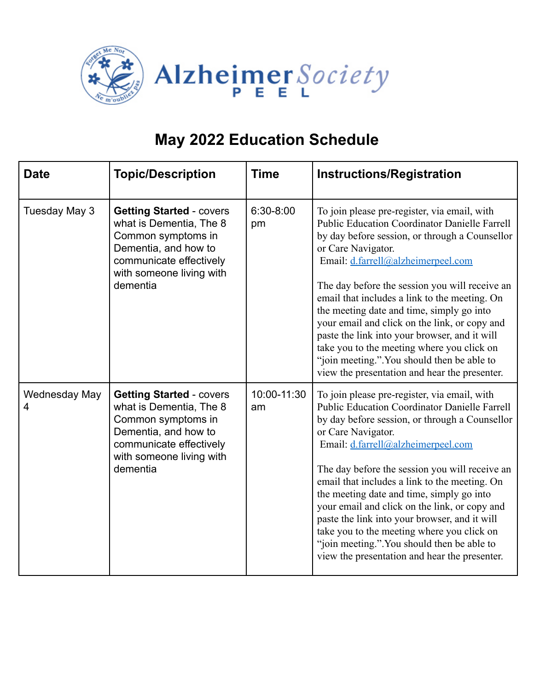

| <b>Date</b>        | <b>Topic/Description</b>                                                                                                                                                    | <b>Time</b>       | <b>Instructions/Registration</b>                                                                                                                                                                                                                                                                                                                                                                                                                                                                                                                                                                                   |
|--------------------|-----------------------------------------------------------------------------------------------------------------------------------------------------------------------------|-------------------|--------------------------------------------------------------------------------------------------------------------------------------------------------------------------------------------------------------------------------------------------------------------------------------------------------------------------------------------------------------------------------------------------------------------------------------------------------------------------------------------------------------------------------------------------------------------------------------------------------------------|
| Tuesday May 3      | <b>Getting Started - covers</b><br>what is Dementia, The 8<br>Common symptoms in<br>Dementia, and how to<br>communicate effectively<br>with someone living with<br>dementia | 6:30-8:00<br>pm   | To join please pre-register, via email, with<br><b>Public Education Coordinator Danielle Farrell</b><br>by day before session, or through a Counsellor<br>or Care Navigator.<br>Email: d.farrell@alzheimerpeel.com<br>The day before the session you will receive an<br>email that includes a link to the meeting. On<br>the meeting date and time, simply go into<br>your email and click on the link, or copy and<br>paste the link into your browser, and it will<br>take you to the meeting where you click on<br>"join meeting.". You should then be able to<br>view the presentation and hear the presenter. |
| Wednesday May<br>4 | <b>Getting Started - covers</b><br>what is Dementia, The 8<br>Common symptoms in<br>Dementia, and how to<br>communicate effectively<br>with someone living with<br>dementia | 10:00-11:30<br>am | To join please pre-register, via email, with<br><b>Public Education Coordinator Danielle Farrell</b><br>by day before session, or through a Counsellor<br>or Care Navigator.<br>Email: d.farrell@alzheimerpeel.com<br>The day before the session you will receive an<br>email that includes a link to the meeting. On<br>the meeting date and time, simply go into<br>your email and click on the link, or copy and<br>paste the link into your browser, and it will<br>take you to the meeting where you click on<br>"join meeting.". You should then be able to<br>view the presentation and hear the presenter. |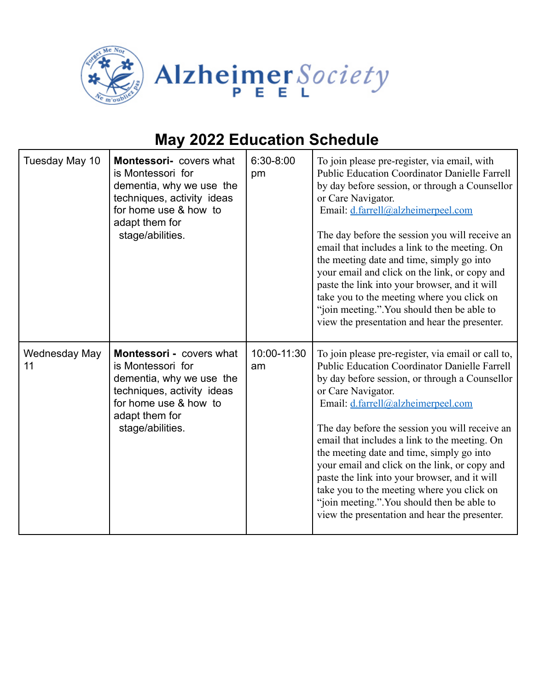

| Tuesday May 10      | Montessori- covers what<br>is Montessori for<br>dementia, why we use the<br>techniques, activity ideas<br>for home use & how to<br>adapt them for<br>stage/abilities.  | 6:30-8:00<br>pm   | To join please pre-register, via email, with<br><b>Public Education Coordinator Danielle Farrell</b><br>by day before session, or through a Counsellor<br>or Care Navigator.<br>Email: d.farrell@alzheimerpeel.com<br>The day before the session you will receive an<br>email that includes a link to the meeting. On<br>the meeting date and time, simply go into<br>your email and click on the link, or copy and<br>paste the link into your browser, and it will<br>take you to the meeting where you click on<br>"join meeting.". You should then be able to<br>view the presentation and hear the presenter.       |
|---------------------|------------------------------------------------------------------------------------------------------------------------------------------------------------------------|-------------------|--------------------------------------------------------------------------------------------------------------------------------------------------------------------------------------------------------------------------------------------------------------------------------------------------------------------------------------------------------------------------------------------------------------------------------------------------------------------------------------------------------------------------------------------------------------------------------------------------------------------------|
| Wednesday May<br>11 | Montessori - covers what<br>is Montessori for<br>dementia, why we use the<br>techniques, activity ideas<br>for home use & how to<br>adapt them for<br>stage/abilities. | 10:00-11:30<br>am | To join please pre-register, via email or call to,<br><b>Public Education Coordinator Danielle Farrell</b><br>by day before session, or through a Counsellor<br>or Care Navigator.<br>Email: d.farrell@alzheimerpeel.com<br>The day before the session you will receive an<br>email that includes a link to the meeting. On<br>the meeting date and time, simply go into<br>your email and click on the link, or copy and<br>paste the link into your browser, and it will<br>take you to the meeting where you click on<br>"join meeting.". You should then be able to<br>view the presentation and hear the presenter. |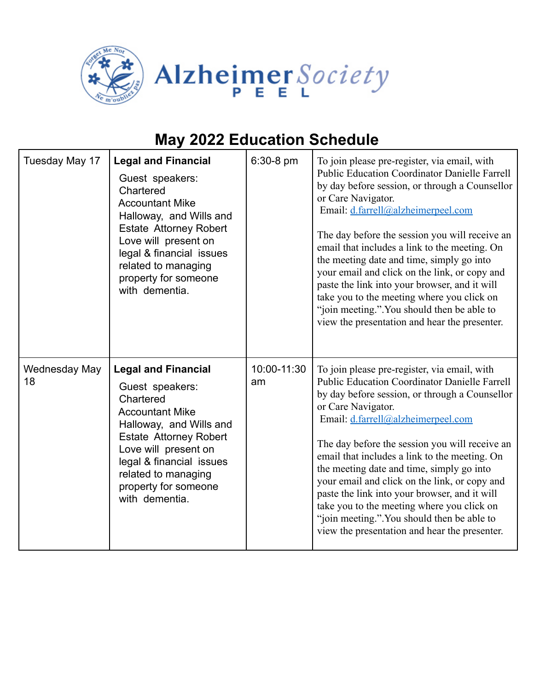

| Tuesday May 17      | <b>Legal and Financial</b><br>Guest speakers:<br>Chartered<br><b>Accountant Mike</b><br>Halloway, and Wills and<br><b>Estate Attorney Robert</b><br>Love will present on<br>legal & financial issues<br>related to managing<br>property for someone<br>with dementia. | 6:30-8 pm         | To join please pre-register, via email, with<br><b>Public Education Coordinator Danielle Farrell</b><br>by day before session, or through a Counsellor<br>or Care Navigator.<br>Email: d.farrell@alzheimerpeel.com<br>The day before the session you will receive an<br>email that includes a link to the meeting. On<br>the meeting date and time, simply go into<br>your email and click on the link, or copy and<br>paste the link into your browser, and it will<br>take you to the meeting where you click on<br>"join meeting.". You should then be able to<br>view the presentation and hear the presenter. |
|---------------------|-----------------------------------------------------------------------------------------------------------------------------------------------------------------------------------------------------------------------------------------------------------------------|-------------------|--------------------------------------------------------------------------------------------------------------------------------------------------------------------------------------------------------------------------------------------------------------------------------------------------------------------------------------------------------------------------------------------------------------------------------------------------------------------------------------------------------------------------------------------------------------------------------------------------------------------|
| Wednesday May<br>18 | <b>Legal and Financial</b><br>Guest speakers:<br>Chartered<br><b>Accountant Mike</b><br>Halloway, and Wills and<br><b>Estate Attorney Robert</b><br>Love will present on<br>legal & financial issues<br>related to managing<br>property for someone<br>with dementia. | 10:00-11:30<br>am | To join please pre-register, via email, with<br><b>Public Education Coordinator Danielle Farrell</b><br>by day before session, or through a Counsellor<br>or Care Navigator.<br>Email: d.farrell@alzheimerpeel.com<br>The day before the session you will receive an<br>email that includes a link to the meeting. On<br>the meeting date and time, simply go into<br>your email and click on the link, or copy and<br>paste the link into your browser, and it will<br>take you to the meeting where you click on<br>"join meeting.". You should then be able to<br>view the presentation and hear the presenter. |